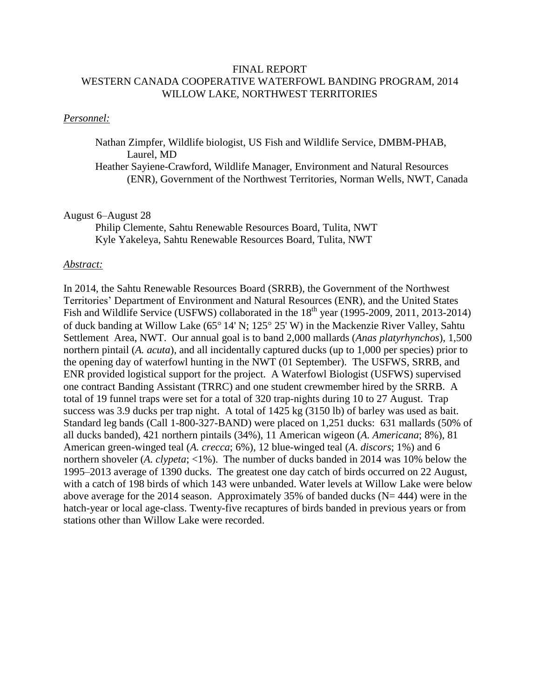### FINAL REPORT WESTERN CANADA COOPERATIVE WATERFOWL BANDING PROGRAM, 2014 WILLOW LAKE, NORTHWEST TERRITORIES

### *Personnel:*

Nathan Zimpfer, Wildlife biologist, US Fish and Wildlife Service, DMBM-PHAB, Laurel, MD

Heather Sayiene-Crawford, Wildlife Manager, Environment and Natural Resources (ENR), Government of the Northwest Territories, Norman Wells, NWT, Canada

#### August 6–August 28

Philip Clemente, Sahtu Renewable Resources Board, Tulita, NWT Kyle Yakeleya, Sahtu Renewable Resources Board, Tulita, NWT

#### *Abstract:*

In 2014, the Sahtu Renewable Resources Board (SRRB), the Government of the Northwest Territories' Department of Environment and Natural Resources (ENR), and the United States Fish and Wildlife Service (USFWS) collaborated in the 18<sup>th</sup> year (1995-2009, 2011, 2013-2014) of duck banding at Willow Lake ( $65^{\circ}$  14' N;  $125^{\circ}$  25' W) in the Mackenzie River Valley, Sahtu Settlement Area, NWT. Our annual goal is to band 2,000 mallards (*Anas platyrhynchos*), 1,500 northern pintail (*A. acuta*), and all incidentally captured ducks (up to 1,000 per species) prior to the opening day of waterfowl hunting in the NWT (01 September). The USFWS, SRRB, and ENR provided logistical support for the project. A Waterfowl Biologist (USFWS) supervised one contract Banding Assistant (TRRC) and one student crewmember hired by the SRRB. A total of 19 funnel traps were set for a total of 320 trap-nights during 10 to 27 August. Trap success was 3.9 ducks per trap night. A total of 1425 kg (3150 lb) of barley was used as bait. Standard leg bands (Call 1-800-327-BAND) were placed on 1,251 ducks: 631 mallards (50% of all ducks banded), 421 northern pintails (34%), 11 American wigeon (*A. Americana*; 8%), 81 American green-winged teal (*A. crecca*; 6%), 12 blue-winged teal (*A*. *discors*; 1%) and 6 northern shoveler (*A. clypeta*; <1%). The number of ducks banded in 2014 was 10% below the 1995–2013 average of 1390 ducks. The greatest one day catch of birds occurred on 22 August, with a catch of 198 birds of which 143 were unbanded. Water levels at Willow Lake were below above average for the 2014 season. Approximately 35% of banded ducks ( $N= 444$ ) were in the hatch-year or local age-class. Twenty-five recaptures of birds banded in previous years or from stations other than Willow Lake were recorded.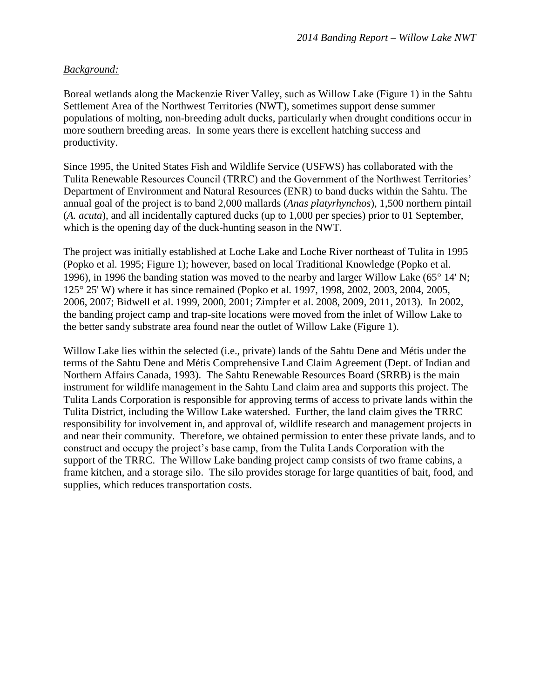# *Background:*

Boreal wetlands along the Mackenzie River Valley, such as Willow Lake (Figure 1) in the Sahtu Settlement Area of the Northwest Territories (NWT), sometimes support dense summer populations of molting, non-breeding adult ducks, particularly when drought conditions occur in more southern breeding areas. In some years there is excellent hatching success and productivity.

Since 1995, the United States Fish and Wildlife Service (USFWS) has collaborated with the Tulita Renewable Resources Council (TRRC) and the Government of the Northwest Territories' Department of Environment and Natural Resources (ENR) to band ducks within the Sahtu. The annual goal of the project is to band 2,000 mallards (*Anas platyrhynchos*), 1,500 northern pintail (*A. acuta*), and all incidentally captured ducks (up to 1,000 per species) prior to 01 September, which is the opening day of the duck-hunting season in the NWT.

The project was initially established at Loche Lake and Loche River northeast of Tulita in 1995 (Popko et al. 1995; Figure 1); however, based on local Traditional Knowledge (Popko et al. 1996), in 1996 the banding station was moved to the nearby and larger Willow Lake (65 $\degree$  14' N; 125° 25' W) where it has since remained (Popko et al. 1997, 1998, 2002, 2003, 2004, 2005, 2006, 2007; Bidwell et al. 1999, 2000, 2001; Zimpfer et al. 2008, 2009, 2011, 2013). In 2002, the banding project camp and trap-site locations were moved from the inlet of Willow Lake to the better sandy substrate area found near the outlet of Willow Lake (Figure 1).

Willow Lake lies within the selected (i.e., private) lands of the Sahtu Dene and Métis under the terms of the Sahtu Dene and Métis Comprehensive Land Claim Agreement (Dept. of Indian and Northern Affairs Canada, 1993). The Sahtu Renewable Resources Board (SRRB) is the main instrument for wildlife management in the Sahtu Land claim area and supports this project. The Tulita Lands Corporation is responsible for approving terms of access to private lands within the Tulita District, including the Willow Lake watershed. Further, the land claim gives the TRRC responsibility for involvement in, and approval of, wildlife research and management projects in and near their community. Therefore, we obtained permission to enter these private lands, and to construct and occupy the project's base camp, from the Tulita Lands Corporation with the support of the TRRC. The Willow Lake banding project camp consists of two frame cabins, a frame kitchen, and a storage silo. The silo provides storage for large quantities of bait, food, and supplies, which reduces transportation costs.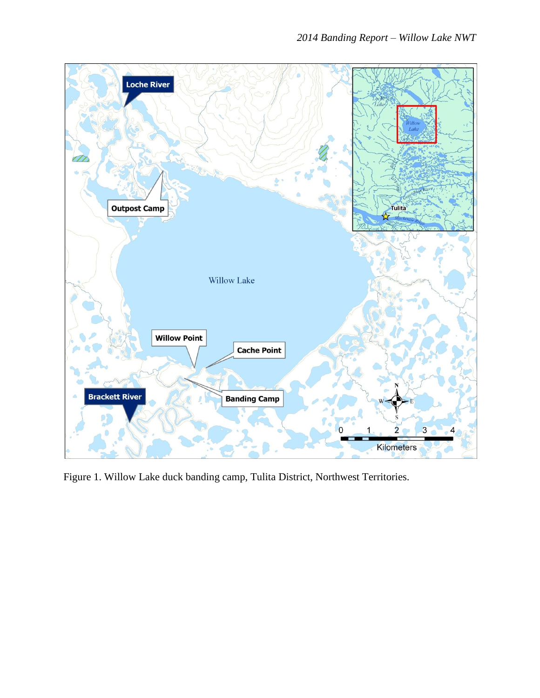

Figure 1. Willow Lake duck banding camp, Tulita District, Northwest Territories.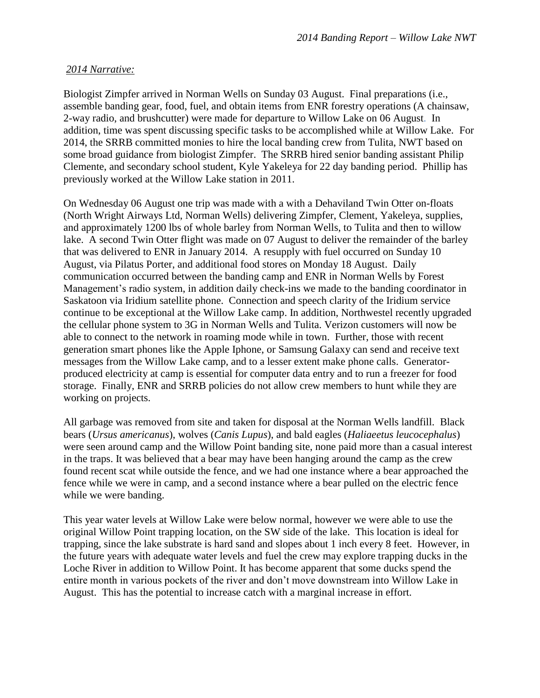# *2014 Narrative:*

Biologist Zimpfer arrived in Norman Wells on Sunday 03 August. Final preparations (i.e., assemble banding gear, food, fuel, and obtain items from ENR forestry operations (A chainsaw, 2-way radio, and brushcutter) were made for departure to Willow Lake on 06 August. In addition, time was spent discussing specific tasks to be accomplished while at Willow Lake. For 2014, the SRRB committed monies to hire the local banding crew from Tulita, NWT based on some broad guidance from biologist Zimpfer. The SRRB hired senior banding assistant Philip Clemente, and secondary school student, Kyle Yakeleya for 22 day banding period. Phillip has previously worked at the Willow Lake station in 2011.

On Wednesday 06 August one trip was made with a with a Dehaviland Twin Otter on-floats (North Wright Airways Ltd, Norman Wells) delivering Zimpfer, Clement, Yakeleya, supplies, and approximately 1200 lbs of whole barley from Norman Wells, to Tulita and then to willow lake. A second Twin Otter flight was made on 07 August to deliver the remainder of the barley that was delivered to ENR in January 2014. A resupply with fuel occurred on Sunday 10 August, via Pilatus Porter, and additional food stores on Monday 18 August. Daily communication occurred between the banding camp and ENR in Norman Wells by Forest Management's radio system, in addition daily check-ins we made to the banding coordinator in Saskatoon via Iridium satellite phone. Connection and speech clarity of the Iridium service continue to be exceptional at the Willow Lake camp. In addition, Northwestel recently upgraded the cellular phone system to 3G in Norman Wells and Tulita. Verizon customers will now be able to connect to the network in roaming mode while in town. Further, those with recent generation smart phones like the Apple Iphone, or Samsung Galaxy can send and receive text messages from the Willow Lake camp, and to a lesser extent make phone calls. Generatorproduced electricity at camp is essential for computer data entry and to run a freezer for food storage. Finally, ENR and SRRB policies do not allow crew members to hunt while they are working on projects.

All garbage was removed from site and taken for disposal at the Norman Wells landfill. Black bears (*Ursus americanus*), wolves (*Canis Lupus*), and bald eagles (*Haliaeetus leucocephalus*) were seen around camp and the Willow Point banding site, none paid more than a casual interest in the traps. It was believed that a bear may have been hanging around the camp as the crew found recent scat while outside the fence, and we had one instance where a bear approached the fence while we were in camp, and a second instance where a bear pulled on the electric fence while we were banding.

This year water levels at Willow Lake were below normal, however we were able to use the original Willow Point trapping location, on the SW side of the lake. This location is ideal for trapping, since the lake substrate is hard sand and slopes about 1 inch every 8 feet. However, in the future years with adequate water levels and fuel the crew may explore trapping ducks in the Loche River in addition to Willow Point. It has become apparent that some ducks spend the entire month in various pockets of the river and don't move downstream into Willow Lake in August. This has the potential to increase catch with a marginal increase in effort.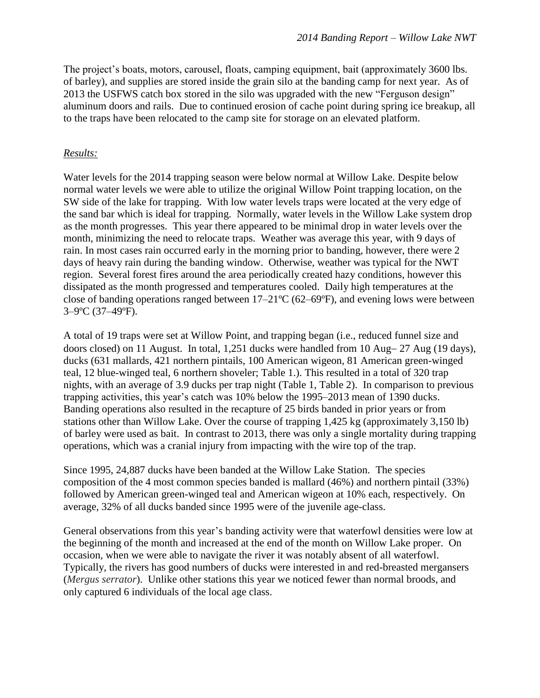The project's boats, motors, carousel, floats, camping equipment, bait (approximately 3600 lbs. of barley), and supplies are stored inside the grain silo at the banding camp for next year. As of 2013 the USFWS catch box stored in the silo was upgraded with the new "Ferguson design" aluminum doors and rails. Due to continued erosion of cache point during spring ice breakup, all to the traps have been relocated to the camp site for storage on an elevated platform.

## *Results:*

Water levels for the 2014 trapping season were below normal at Willow Lake. Despite below normal water levels we were able to utilize the original Willow Point trapping location, on the SW side of the lake for trapping. With low water levels traps were located at the very edge of the sand bar which is ideal for trapping. Normally, water levels in the Willow Lake system drop as the month progresses. This year there appeared to be minimal drop in water levels over the month, minimizing the need to relocate traps. Weather was average this year, with 9 days of rain. In most cases rain occurred early in the morning prior to banding, however, there were 2 days of heavy rain during the banding window. Otherwise, weather was typical for the NWT region. Several forest fires around the area periodically created hazy conditions, however this dissipated as the month progressed and temperatures cooled. Daily high temperatures at the close of banding operations ranged between  $17-21^{\circ}C$  (62–69°F), and evening lows were between 3–9ºC (37–49ºF).

A total of 19 traps were set at Willow Point, and trapping began (i.e., reduced funnel size and doors closed) on 11 August. In total,  $1,251$  ducks were handled from 10 Aug  $-27$  Aug (19 days), ducks (631 mallards, 421 northern pintails, 100 American wigeon, 81 American green-winged teal, 12 blue-winged teal, 6 northern shoveler; Table 1.). This resulted in a total of 320 trap nights, with an average of 3.9 ducks per trap night (Table 1, Table 2). In comparison to previous trapping activities, this year's catch was 10% below the 1995–2013 mean of 1390 ducks. Banding operations also resulted in the recapture of 25 birds banded in prior years or from stations other than Willow Lake. Over the course of trapping 1,425 kg (approximately 3,150 lb) of barley were used as bait. In contrast to 2013, there was only a single mortality during trapping operations, which was a cranial injury from impacting with the wire top of the trap.

Since 1995, 24,887 ducks have been banded at the Willow Lake Station. The species composition of the 4 most common species banded is mallard (46%) and northern pintail (33%) followed by American green-winged teal and American wigeon at 10% each, respectively. On average, 32% of all ducks banded since 1995 were of the juvenile age-class.

General observations from this year's banding activity were that waterfowl densities were low at the beginning of the month and increased at the end of the month on Willow Lake proper. On occasion, when we were able to navigate the river it was notably absent of all waterfowl. Typically, the rivers has good numbers of ducks were interested in and red-breasted mergansers (*Mergus serrator*). Unlike other stations this year we noticed fewer than normal broods, and only captured 6 individuals of the local age class.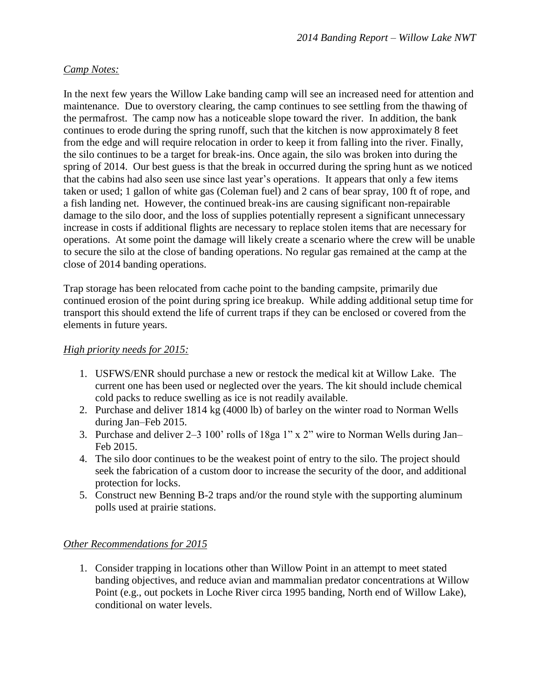# *Camp Notes:*

In the next few years the Willow Lake banding camp will see an increased need for attention and maintenance. Due to overstory clearing, the camp continues to see settling from the thawing of the permafrost. The camp now has a noticeable slope toward the river. In addition, the bank continues to erode during the spring runoff, such that the kitchen is now approximately 8 feet from the edge and will require relocation in order to keep it from falling into the river. Finally, the silo continues to be a target for break-ins. Once again, the silo was broken into during the spring of 2014. Our best guess is that the break in occurred during the spring hunt as we noticed that the cabins had also seen use since last year's operations. It appears that only a few items taken or used; 1 gallon of white gas (Coleman fuel) and 2 cans of bear spray, 100 ft of rope, and a fish landing net. However, the continued break-ins are causing significant non-repairable damage to the silo door, and the loss of supplies potentially represent a significant unnecessary increase in costs if additional flights are necessary to replace stolen items that are necessary for operations. At some point the damage will likely create a scenario where the crew will be unable to secure the silo at the close of banding operations. No regular gas remained at the camp at the close of 2014 banding operations.

Trap storage has been relocated from cache point to the banding campsite, primarily due continued erosion of the point during spring ice breakup. While adding additional setup time for transport this should extend the life of current traps if they can be enclosed or covered from the elements in future years.

# *High priority needs for 2015:*

- 1. USFWS/ENR should purchase a new or restock the medical kit at Willow Lake. The current one has been used or neglected over the years. The kit should include chemical cold packs to reduce swelling as ice is not readily available.
- 2. Purchase and deliver 1814 kg (4000 lb) of barley on the winter road to Norman Wells during Jan–Feb 2015.
- 3. Purchase and deliver 2–3 100' rolls of 18ga 1" x 2" wire to Norman Wells during Jan– Feb 2015.
- 4. The silo door continues to be the weakest point of entry to the silo. The project should seek the fabrication of a custom door to increase the security of the door, and additional protection for locks.
- 5. Construct new Benning B-2 traps and/or the round style with the supporting aluminum polls used at prairie stations.

# *Other Recommendations for 2015*

1. Consider trapping in locations other than Willow Point in an attempt to meet stated banding objectives, and reduce avian and mammalian predator concentrations at Willow Point (e.g., out pockets in Loche River circa 1995 banding, North end of Willow Lake), conditional on water levels.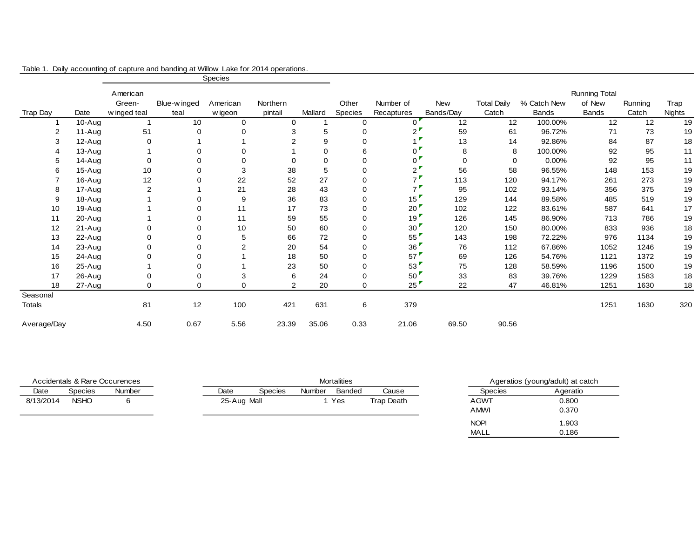|                |           | Species      |              |                |             |             |                |                     |             |                    |             |                      |         |               |
|----------------|-----------|--------------|--------------|----------------|-------------|-------------|----------------|---------------------|-------------|--------------------|-------------|----------------------|---------|---------------|
|                |           | American     |              |                |             |             |                |                     |             |                    |             | <b>Running Total</b> |         |               |
|                |           | Green-       | Blue-w inged | American       | Northern    |             | Other          | Number of           | New         | <b>Total Daily</b> | % Catch New | of New               | Running | Trap          |
| Trap Day       | Date      | w inged teal | teal         | w igeon        | pintail     | Mallard     | <b>Species</b> | Recaptures          | Bands/Day   | Catch              | Bands       | <b>Bands</b>         | Catch   | <b>Nights</b> |
|                | 10-Aug    |              | 10           | 0              | $\mathbf 0$ |             | $\mathbf 0$    | $\Omega$            | 12          | 12                 | 100.00%     | 12                   | 12      | 19            |
| $\overline{2}$ | 11-Aug    | 51           |              | 0              | 3           | 5           | $\Omega$       | $\overline{2}$      | 59          | 61                 | 96.72%      | 71                   | 73      | 19            |
| 3              | 12-Aug    | 0            |              |                | 2           | 9           | 0              |                     | 13          | 14                 | 92.86%      | 84                   | 87      | 18            |
| 4              | 13-Aug    |              |              | 0              |             | 0           | 6              | 0                   | 8           | 8                  | 100.00%     | 92                   | 95      | 11            |
| 5              | 14-Aug    | 0            |              | 0              | $\Omega$    | $\mathbf 0$ | 0              | 0                   | $\mathbf 0$ | 0                  | 0.00%       | 92                   | 95      | 11            |
| 6              | 15-Aug    | 10           |              | 3              | 38          | 5           | 0              | $2^{\bullet}$       | 56          | 58                 | 96.55%      | 148                  | 153     | 19            |
|                | 16-Aug    | 12           |              | 22             | 52          | 27          | 0              | 7 <sup>F</sup>      | 113         | 120                | 94.17%      | 261                  | 273     | 19            |
| 8              | 17-Aug    | 2            |              | 21             | 28          | 43          | 0              | $7^{\triangledown}$ | 95          | 102                | 93.14%      | 356                  | 375     | 19            |
| 9              | $18-Aug$  |              |              | 9              | 36          | 83          | 0              | 15                  | 129         | 144                | 89.58%      | 485                  | 519     | 19            |
| 10             | 19-Aug    |              | $\Omega$     | 11             | 17          | 73          | 0              | 20'                 | 102         | 122                | 83.61%      | 587                  | 641     | 17            |
| 11             | 20-Aug    |              |              | 11             | 59          | 55          | 0              | 19'                 | 126         | 145                | 86.90%      | 713                  | 786     | 19            |
| 12             | 21-Aug    | 0            | $\Omega$     | 10             | 50          | 60          | $\mathbf 0$    | 30 <sup>1</sup>     | 120         | 150                | 80.00%      | 833                  | 936     | 18            |
| 13             | $22$ -Aug | 0            |              | 5              | 66          | 72          | 0              | 55'                 | 143         | 198                | 72.22%      | 976                  | 1134    | 19            |
| 14             | 23-Aug    | 0            |              | $\overline{c}$ | 20          | 54          | 0              | 36                  | 76          | 112                | 67.86%      | 1052                 | 1246    | 19            |
| 15             | 24-Aug    | 0            | 0            |                | 18          | 50          | 0              | $57^{\circ}$        | 69          | 126                | 54.76%      | 1121                 | 1372    | 19            |
| 16             | 25-Aug    |              |              |                | 23          | 50          | 0              | 53"                 | 75          | 128                | 58.59%      | 1196                 | 1500    | 19            |
| 17             | 26-Aug    | 0            |              | 3              | 6           | 24          | $\mathbf 0$    | 50"                 | 33          | 83                 | 39.76%      | 1229                 | 1583    | 18            |
| 18             | 27-Aug    | 0            | $\Omega$     | 0              | 2           | 20          | 0              | 25                  | 22          | 47                 | 46.81%      | 1251                 | 1630    | 18            |
| Seasonal       |           |              |              |                |             |             |                |                     |             |                    |             |                      |         |               |
| <b>Totals</b>  |           | 81           | 12           | 100            | 421         | 631         | 6              | 379                 |             |                    |             | 1251                 | 1630    | 320           |
| Average/Day    |           | 4.50         | 0.67         | 5.56           | 23.39       | 35.06       | 0.33           | 21.06               | 69.50       | 90.56              |             |                      |         |               |

|  |  |  |  | Table 1. Daily accounting of capture and banding at Willow Lake for 2014 operations. |
|--|--|--|--|--------------------------------------------------------------------------------------|
|--|--|--|--|--------------------------------------------------------------------------------------|

| Accidentals & Rare Occurences |                |               | <b>Mortalities</b> |             |                |               |        |            | Ageratios (young/adult) at catch |             |          |
|-------------------------------|----------------|---------------|--------------------|-------------|----------------|---------------|--------|------------|----------------------------------|-------------|----------|
| Date                          | <b>Species</b> | <b>Number</b> |                    | Date        | <b>Species</b> | <b>Number</b> | Banded | Cause      |                                  | Species     | Ageratio |
| 8/13/2014                     | <b>NSHO</b>    |               |                    | 25-Aug Mall |                |               | Yes    | Trap Death |                                  | AGWT        | 0.800    |
|                               |                |               |                    |             |                |               |        |            |                                  | AMWI        | 0.370    |
|                               |                |               |                    |             |                |               |        |            |                                  | <b>NOPI</b> | 1.903    |
|                               |                |               |                    |             |                |               |        |            |                                  | <b>MALL</b> | 0.186    |